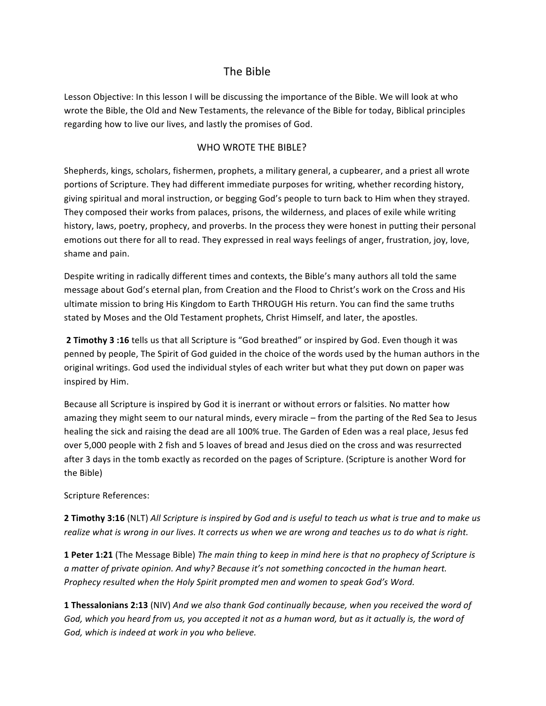# The Bible

Lesson Objective: In this lesson I will be discussing the importance of the Bible. We will look at who wrote the Bible, the Old and New Testaments, the relevance of the Bible for today, Biblical principles regarding how to live our lives, and lastly the promises of God.

## WHO WROTE THE BIBLE?

Shepherds, kings, scholars, fishermen, prophets, a military general, a cupbearer, and a priest all wrote portions of Scripture. They had different immediate purposes for writing, whether recording history, giving spiritual and moral instruction, or begging God's people to turn back to Him when they strayed. They composed their works from palaces, prisons, the wilderness, and places of exile while writing history, laws, poetry, prophecy, and proverbs. In the process they were honest in putting their personal emotions out there for all to read. They expressed in real ways feelings of anger, frustration, joy, love, shame and pain.

Despite writing in radically different times and contexts, the Bible's many authors all told the same message about God's eternal plan, from Creation and the Flood to Christ's work on the Cross and His ultimate mission to bring His Kingdom to Earth THROUGH His return. You can find the same truths stated by Moses and the Old Testament prophets, Christ Himself, and later, the apostles.

**2 Timothy 3 :16** tells us that all Scripture is "God breathed" or inspired by God. Even though it was penned by people, The Spirit of God guided in the choice of the words used by the human authors in the original writings. God used the individual styles of each writer but what they put down on paper was inspired by Him.

Because all Scripture is inspired by God it is inerrant or without errors or falsities. No matter how amazing they might seem to our natural minds, every miracle – from the parting of the Red Sea to Jesus healing the sick and raising the dead are all 100% true. The Garden of Eden was a real place, Jesus fed over 5,000 people with 2 fish and 5 loaves of bread and Jesus died on the cross and was resurrected after 3 days in the tomb exactly as recorded on the pages of Scripture. (Scripture is another Word for the Bible)

Scripture References:

**2 Timothy 3:16** (NLT) *All Scripture is inspired by God and is useful to teach us what is true and to make us* realize what is wrong in our lives. It corrects us when we are wrong and teaches us to do what is right.

**1 Peter 1:21** (The Message Bible) *The main thing to keep in mind here is that no prophecy of Scripture is a* matter of private opinion. And why? Because it's not something concocted in the human heart. *Prophecy resulted when the Holy Spirit prompted men and women to speak God's Word.* 

**1 Thessalonians 2:13** (NIV) And we also thank God continually because, when you received the word of God, which you heard from us, you accepted it not as a human word, but as it actually is, the word of God, which is indeed at work in you who believe.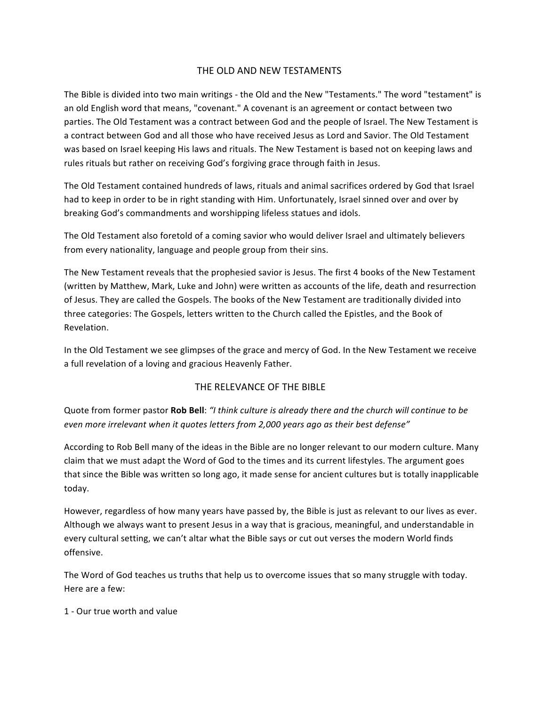### THE OLD AND NEW TESTAMENTS

The Bible is divided into two main writings - the Old and the New "Testaments." The word "testament" is an old English word that means, "covenant." A covenant is an agreement or contact between two parties. The Old Testament was a contract between God and the people of Israel. The New Testament is a contract between God and all those who have received Jesus as Lord and Savior. The Old Testament was based on Israel keeping His laws and rituals. The New Testament is based not on keeping laws and rules rituals but rather on receiving God's forgiving grace through faith in Jesus.

The Old Testament contained hundreds of laws, rituals and animal sacrifices ordered by God that Israel had to keep in order to be in right standing with Him. Unfortunately, Israel sinned over and over by breaking God's commandments and worshipping lifeless statues and idols.

The Old Testament also foretold of a coming savior who would deliver Israel and ultimately believers from every nationality, language and people group from their sins.

The New Testament reveals that the prophesied savior is Jesus. The first 4 books of the New Testament (written by Matthew, Mark, Luke and John) were written as accounts of the life, death and resurrection of Jesus. They are called the Gospels. The books of the New Testament are traditionally divided into three categories: The Gospels, letters written to the Church called the Epistles, and the Book of Revelation.

In the Old Testament we see glimpses of the grace and mercy of God. In the New Testament we receive a full revelation of a loving and gracious Heavenly Father.

# THE RELEVANCE OF THE BIBLE

Quote from former pastor **Rob Bell**: "I think culture is already there and the church will continue to be *even more irrelevant when it quotes letters from 2,000 years ago as their best defense"* 

According to Rob Bell many of the ideas in the Bible are no longer relevant to our modern culture. Many claim that we must adapt the Word of God to the times and its current lifestyles. The argument goes that since the Bible was written so long ago, it made sense for ancient cultures but is totally inapplicable today.

However, regardless of how many years have passed by, the Bible is just as relevant to our lives as ever. Although we always want to present Jesus in a way that is gracious, meaningful, and understandable in every cultural setting, we can't altar what the Bible says or cut out verses the modern World finds offensive. 

The Word of God teaches us truths that help us to overcome issues that so many struggle with today. Here are a few:

1 - Our true worth and value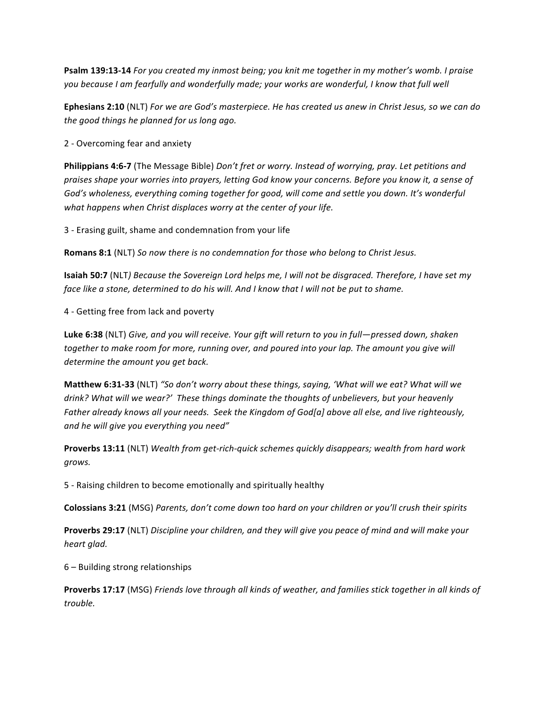**Psalm 139:13-14** For you created my inmost being; you knit me together in my mother's womb. I praise you because I am fearfully and wonderfully made; your works are wonderful, I know that full well

**Ephesians 2:10** (NLT) For we are God's masterpiece. He has created us anew in Christ Jesus, so we can do the good things he planned for us long ago.

2 - Overcoming fear and anxiety

Philippians 4:6-7 (The Message Bible) *Don't fret or worry. Instead of worrying, pray. Let petitions and* praises shape your worries into prayers, letting God know your concerns. Before you know it, a sense of God's wholeness, everything coming together for good, will come and settle you down. It's wonderful what happens when Christ displaces worry at the center of your life.

3 - Erasing guilt, shame and condemnation from your life

**Romans 8:1** (NLT) So now there is no condemnation for those who belong to Christ Jesus.

**Isaiah 50:7** (NLT) Because the Sovereign Lord helps me, I will not be disgraced. Therefore, I have set my *face like a stone, determined to do his will. And I know that I will not be put to shame.* 

4 - Getting free from lack and poverty

Luke 6:38 (NLT) Give, and you will receive. Your gift will return to you in full—pressed down, shaken together to make room for more, running over, and poured into your lap. The amount you give will determine the amount you get back.

**Matthew 6:31-33** (NLT) "So don't worry about these things, saying, 'What will we eat? What will we *drink?* What will we wear?' These things dominate the thoughts of unbelievers, but your heavenly Father already knows all your needs. Seek the Kingdom of God[a] above all else, and live righteously, and he will give you everything you need"

**Proverbs 13:11** (NLT) *Wealth from get-rich-quick schemes quickly disappears;* wealth from hard work *grows.*

5 - Raising children to become emotionally and spiritually healthy

**Colossians 3:21** (MSG) Parents, don't come down too hard on your children or you'll crush their spirits

**Proverbs 29:17** (NLT) Discipline your children, and they will give you peace of mind and will make your *heart glad.*

 $6$  – Building strong relationships

**Proverbs 17:17** (MSG) *Friends love through all kinds of weather, and families stick together in all kinds of trouble.*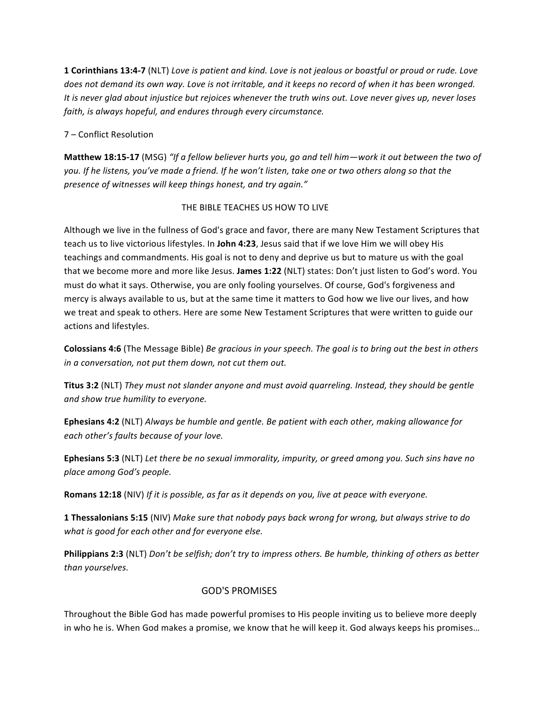**1 Corinthians 13:4-7** (NLT) *Love is patient and kind. Love is not jealous or boastful or proud or rude. Love does not demand its own way. Love is not irritable, and it keeps no record of when it has been wronged.* It is never glad about injustice but rejoices whenever the truth wins out. Love never gives up, never loses faith, is always hopeful, and endures through every circumstance.

### 7 – Conflict Resolution

**Matthew 18:15-17** (MSG) "If a fellow believer hurts you, go and tell him—work it out between the two of you. If he listens, you've made a friend. If he won't listen, take one or two others along so that the *presence of witnesses will keep things honest, and try again."*

#### THE BIBLE TEACHES US HOW TO LIVE

Although we live in the fullness of God's grace and favor, there are many New Testament Scriptures that teach us to live victorious lifestyles. In John 4:23, Jesus said that if we love Him we will obey His teachings and commandments. His goal is not to deny and deprive us but to mature us with the goal that we become more and more like Jesus. James 1:22 (NLT) states: Don't just listen to God's word. You must do what it says. Otherwise, you are only fooling yourselves. Of course, God's forgiveness and mercy is always available to us, but at the same time it matters to God how we live our lives, and how we treat and speak to others. Here are some New Testament Scriptures that were written to guide our actions and lifestyles.

**Colossians 4:6** (The Message Bible) *Be gracious in your speech. The goal is to bring out the best in others* in a conversation, not put them down, not cut them out.

**Titus 3:2** (NLT) *They must not slander anyone and must avoid quarreling. Instead, they should be gentle and show true humility to everyone.*

**Ephesians 4:2** (NLT) Always be humble and gentle. Be patient with each other, making allowance for *each other's faults because of your love.*

**Ephesians 5:3** (NLT) *Let there be no sexual immorality, impurity, or greed among you. Such sins have no place among God's people.*

**Romans 12:18** (NIV) If it is possible, as far as it depends on you, live at peace with everyone.

**1 Thessalonians 5:15** (NIV) Make sure that nobody pays back wrong for wrong, but always strive to do what is good for each other and for everyone else.

**Philippians 2:3** (NLT) *Don't be selfish; don't try to impress others. Be humble, thinking of others as better than yourselves.*

# **GOD'S PROMISES**

Throughout the Bible God has made powerful promises to His people inviting us to believe more deeply in who he is. When God makes a promise, we know that he will keep it. God always keeps his promises...